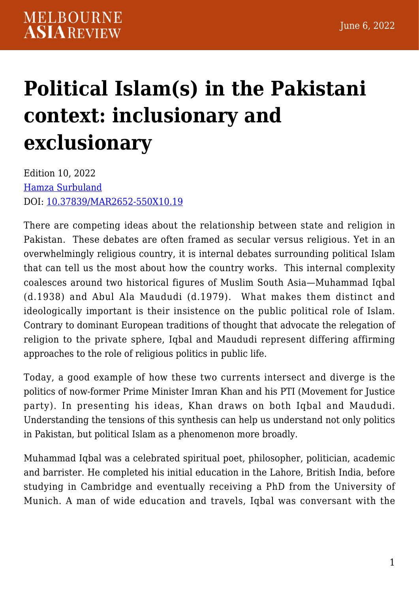## **[Political Islam\(s\) in the Pakistani](https://melbourneasiareview.edu.au/political-islams-in-the-pakistani-context-inclusionary-and-exclusionary/) [context: inclusionary and](https://melbourneasiareview.edu.au/political-islams-in-the-pakistani-context-inclusionary-and-exclusionary/) [exclusionary](https://melbourneasiareview.edu.au/political-islams-in-the-pakistani-context-inclusionary-and-exclusionary/)**

Edition 10, 2022 [Hamza Surbuland](https://law.unimelb.edu.au/centres/cilis/news-and-events/2021-cilis-islamic-studies-postgraduate-conference/speakers/mr-hamza-surbuland) DOI: 10.37839/MAR2652-550X10.19

There are competing ideas about the relationship between state and religion in Pakistan. These debates are often framed as secular versus religious. Yet in an overwhelmingly religious country, it is internal debates surrounding political Islam that can tell us the most about how the country works. This internal complexity coalesces around two historical figures of Muslim South Asia—Muhammad Iqbal (d.1938) and Abul Ala Maududi (d.1979). What makes them distinct and ideologically important is their insistence on the public political role of Islam. Contrary to dominant European traditions of thought that advocate the relegation of religion to the private sphere, Iqbal and Maududi represent differing affirming approaches to the role of religious politics in public life.

Today, a good example of how these two currents intersect and diverge is the politics of now-former Prime Minister Imran Khan and his PTI (Movement for Justice party). In presenting his ideas, Khan draws on both Iqbal and Maududi. Understanding the tensions of this synthesis can help us understand not only politics in Pakistan, but political Islam as a phenomenon more broadly.

Muhammad Iqbal was a celebrated spiritual poet, philosopher, politician, academic and barrister. He completed his initial education in the Lahore, British India, before studying in Cambridge and eventually receiving a PhD from the University of Munich. A man of wide education and travels, Iqbal was conversant with the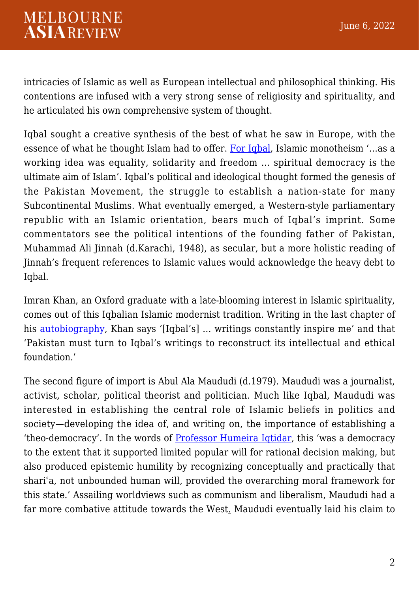intricacies of Islamic as well as European intellectual and philosophical thinking. His contentions are infused with a very strong sense of religiosity and spirituality, and he articulated his own comprehensive system of thought.

Iqbal sought a creative synthesis of the best of what he saw in Europe, with the essence of what he thought Islam had to offer. For Igbal, Islamic monotheism '...as a working idea was equality, solidarity and freedom … spiritual democracy is the ultimate aim of Islam'. Iqbal's political and ideological thought formed the genesis of the Pakistan Movement, the struggle to establish a nation-state for many Subcontinental Muslims. What eventually emerged, a Western-style parliamentary republic with an Islamic orientation, bears much of Iqbal's imprint. Some commentators see the political intentions of the founding father of Pakistan, Muhammad Ali Jinnah (d.Karachi, 1948), as secular, but a more holistic reading of Jinnah's frequent references to Islamic values would acknowledge the heavy debt to Iqbal.

Imran Khan, an Oxford graduate with a late-blooming interest in Islamic spirituality, comes out of this Iqbalian Islamic modernist tradition. Writing in the last chapter of his [autobiography,](http://sanipanhwar.com/Pakistan%20-%20A%20Personal%20History%20-%20Imran%20Khan.pdf) Khan says '[Iqbal's] ... writings constantly inspire me' and that 'Pakistan must turn to Iqbal's writings to reconstruct its intellectual and ethical foundation.'

The second figure of import is Abul Ala Maududi (d.1979). Maududi was a journalist, activist, scholar, political theorist and politician. Much like Iqbal, Maududi was interested in establishing the central role of Islamic beliefs in politics and society—developing the idea of, and writing on, the importance of establishing a 'theo-democracy'. In the words of [Professor Humeira Iqtidar](https://www.cambridge.org/core/journals/review-of-politics/article/theorizing-popular-sovereignty-in-the-colony-abul-ala-maududis-theodemocracy/995029A2BD379587AF448C4D66FE1C1E), this 'was a democracy to the extent that it supported limited popular will for rational decision making, but also produced epistemic humility by recognizing conceptually and practically that shariʿa, not unbounded human will, provided the overarching moral framework for this state.' Assailing worldviews such as communism and liberalism, Maududi had a far more combative attitude towards the West. Maududi eventually laid his claim to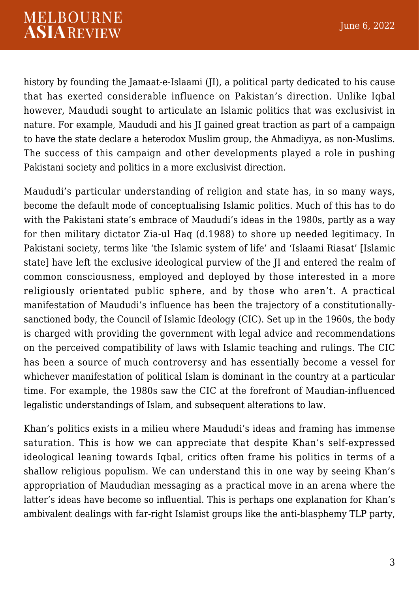history by founding the Jamaat-e-Islaami (JI), a political party dedicated to his cause that has exerted considerable influence on Pakistan's direction. Unlike Iqbal however, Maududi sought to articulate an Islamic politics that was exclusivist in nature. For example, Maududi and his JI gained great traction as part of a campaign to have the state declare a heterodox Muslim group, the Ahmadiyya, as non-Muslims. The success of this campaign and other developments played a role in pushing Pakistani society and politics in a more exclusivist direction.

Maududi's particular understanding of religion and state has, in so many ways, become the default mode of conceptualising Islamic politics. Much of this has to do with the Pakistani state's embrace of Maududi's ideas in the 1980s, partly as a way for then military dictator Zia-ul Haq (d.1988) to shore up needed legitimacy. In Pakistani society, terms like 'the Islamic system of life' and 'Islaami Riasat' [Islamic state] have left the exclusive ideological purview of the JI and entered the realm of common consciousness, employed and deployed by those interested in a more religiously orientated public sphere, and by those who aren't. A practical manifestation of Maududi's influence has been the trajectory of a constitutionallysanctioned body, the Council of Islamic Ideology (CIC). Set up in the 1960s, the body is charged with providing the government with legal advice and recommendations on the perceived compatibility of laws with Islamic teaching and rulings. The CIC has been a source of much controversy and has essentially become a vessel for whichever manifestation of political Islam is dominant in the country at a particular time. For example, the 1980s saw the CIC at the forefront of Maudian-influenced legalistic understandings of Islam, and subsequent alterations to law.

Khan's politics exists in a milieu where Maududi's ideas and framing has immense saturation. This is how we can appreciate that despite Khan's self-expressed ideological leaning towards Iqbal, critics often frame his politics in terms of a shallow religious populism. We can understand this in one way by seeing Khan's appropriation of Maududian messaging as a practical move in an arena where the latter's ideas have become so influential. This is perhaps one explanation for Khan's ambivalent dealings with far-right Islamist groups like the anti-blasphemy TLP party,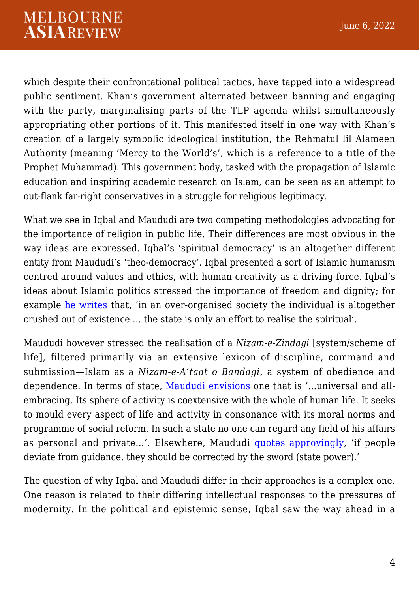which despite their confrontational political tactics, have tapped into a widespread public sentiment. Khan's government alternated between banning and engaging with the party, marginalising parts of the TLP agenda whilst simultaneously appropriating other portions of it. This manifested itself in one way with Khan's creation of a largely symbolic ideological institution, the Rehmatul lil Alameen Authority (meaning 'Mercy to the World's', which is a reference to a title of the Prophet Muhammad). This government body, tasked with the propagation of Islamic education and inspiring academic research on Islam, can be seen as an attempt to out-flank far-right conservatives in a struggle for religious legitimacy.

What we see in Iqbal and Maududi are two competing methodologies advocating for the importance of religion in public life. Their differences are most obvious in the way ideas are expressed. Iqbal's 'spiritual democracy' is an altogether different entity from Maududi's 'theo-democracy'. Iqbal presented a sort of Islamic humanism centred around values and ethics, with human creativity as a driving force. Iqbal's ideas about Islamic politics stressed the importance of freedom and dignity; for example [he writes](http://www.allamaiqbal.com/works/prose/english/reconstruction/06.htm) that, 'in an over-organised society the individual is altogether crushed out of existence … the state is only an effort to realise the spiritual'.

Maududi however stressed the realisation of a *Nizam-e-Zindagi* [system/scheme of life], filtered primarily via an extensive lexicon of discipline, command and submission—Islam as a *Nizam-e-A'taat o Bandagi*, a system of obedience and dependence. In terms of state, [Maududi envisions](https://www.muslim-library.com/dl/books/English_Islamic_Law_and_Constitution.pdf) one that is '…universal and allembracing. Its sphere of activity is coextensive with the whole of human life. It seeks to mould every aspect of life and activity in consonance with its moral norms and programme of social reform. In such a state no one can regard any field of his affairs as personal and private…'. Elsewhere, Maududi [quotes approvingly,](https://www.amazon.com/ISLAMS-POLITICAL-ORDER-DEVIATIONS-RESPONSE/dp/9694481678) 'if people deviate from guidance, they should be corrected by the sword (state power).'

The question of why Iqbal and Maududi differ in their approaches is a complex one. One reason is related to their differing intellectual responses to the pressures of modernity. In the political and epistemic sense, Iqbal saw the way ahead in a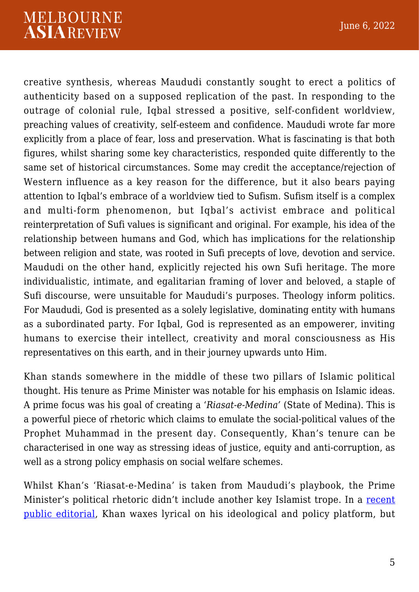## **MELBOURNE ASIAREVIEW**

creative synthesis, whereas Maududi constantly sought to erect a politics of authenticity based on a supposed replication of the past. In responding to the outrage of colonial rule, Iqbal stressed a positive, self-confident worldview, preaching values of creativity, self-esteem and confidence. Maududi wrote far more explicitly from a place of fear, loss and preservation. What is fascinating is that both figures, whilst sharing some key characteristics, responded quite differently to the same set of historical circumstances. Some may credit the acceptance/rejection of Western influence as a key reason for the difference, but it also bears paying attention to Iqbal's embrace of a worldview tied to Sufism. Sufism itself is a complex and multi-form phenomenon, but Iqbal's activist embrace and political reinterpretation of Sufi values is significant and original. For example, his idea of the relationship between humans and God, which has implications for the relationship between religion and state, was rooted in Sufi precepts of love, devotion and service. Maududi on the other hand, explicitly rejected his own Sufi heritage. The more individualistic, intimate, and egalitarian framing of lover and beloved, a staple of Sufi discourse, were unsuitable for Maududi's purposes. Theology inform politics. For Maududi, God is presented as a solely legislative, dominating entity with humans as a subordinated party. For Iqbal, God is represented as an empowerer, inviting humans to exercise their intellect, creativity and moral consciousness as His representatives on this earth, and in their journey upwards unto Him.

Khan stands somewhere in the middle of these two pillars of Islamic political thought. His tenure as Prime Minister was notable for his emphasis on Islamic ideas. A prime focus was his goal of creating a '*Riasat-e-Medina'* (State of Medina). This is a powerful piece of rhetoric which claims to emulate the social-political values of the Prophet Muhammad in the present day. Consequently, Khan's tenure can be characterised in one way as stressing ideas of justice, equity and anti-corruption, as well as a strong policy emphasis on social welfare schemes.

Whilst Khan's 'Riasat-e-Medina' is taken from Maududi's playbook, the Prime Minister's political rhetoric didn't include another key Islamist trope. In a [recent](https://tribune.com.pk/story/2339025/spirit-of-riyasat-i-madina-transforming-pakistan) [public editorial](https://tribune.com.pk/story/2339025/spirit-of-riyasat-i-madina-transforming-pakistan), Khan waxes lyrical on his ideological and policy platform, but